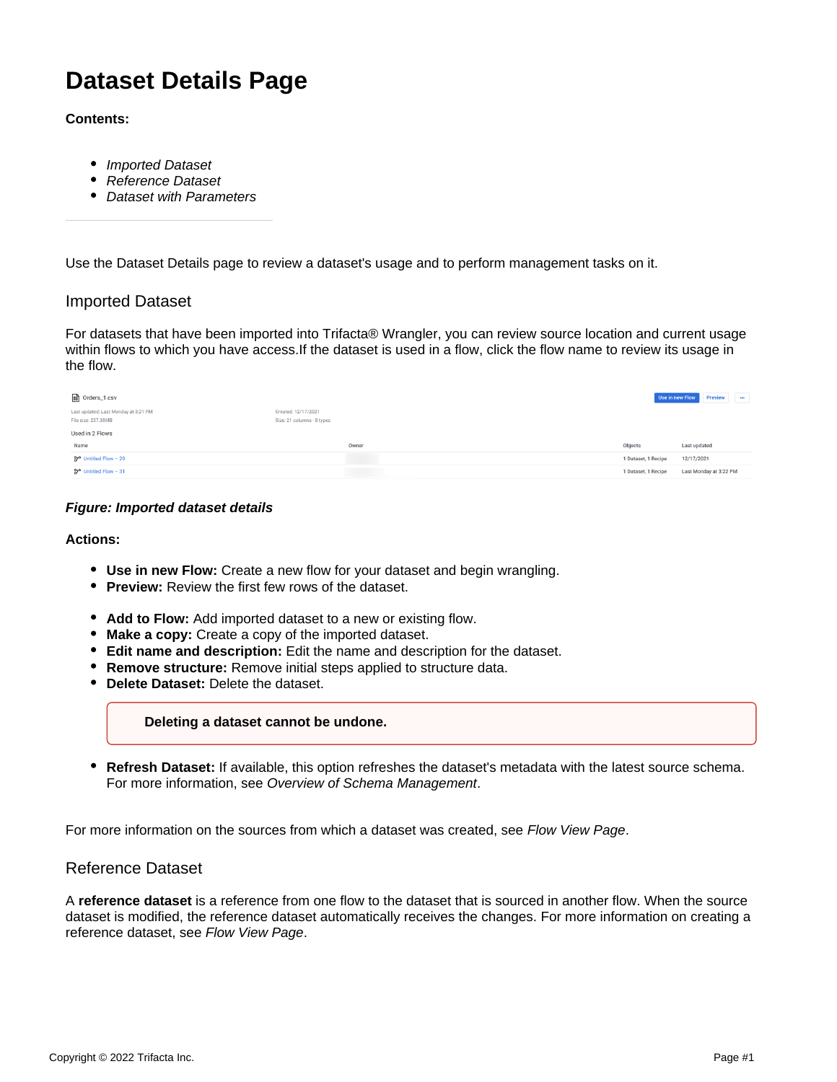# **Dataset Details Page**

## **Contents:**

- [Imported Dataset](#page-0-0)
- [Reference Dataset](#page-0-1)
- [Dataset with Parameters](#page-1-0)

Use the Dataset Details page to review a dataset's usage and to perform management tasks on it.

# <span id="page-0-0"></span>Imported Dataset

For datasets that have been imported into Trifacta® Wrangler, you can review source location and current usage within flows to which you have access.If the dataset is used in a flow, click the flow name to review its usage in the flow.

| <b>■</b> Orders_1.csv                                       |                                                   | Use in new Flow     | Preview<br>$\cdots$    |
|-------------------------------------------------------------|---------------------------------------------------|---------------------|------------------------|
| Last updated: Last Monday at 3:21 PM<br>File size: 257.38MB | Created: 12/17/2021<br>Size: 21 columns · 8 types |                     |                        |
| Used in 2 Flows                                             |                                                   |                     |                        |
| Name                                                        | Owner                                             | Objects             | Last updated           |
| ₿ <sup>o</sup> Untitled Flow − 29                           | <b>Contract</b>                                   | 1 Dataset, 1 Recipe | 12/17/2021             |
| $27^{\circ}$ Untitled Flow - 31                             |                                                   | 1 Dataset, 1 Recipe | Last Monday at 3:22 PM |

### **Figure: Imported dataset details**

#### **Actions:**

- **Use in new Flow:** Create a new flow for your dataset and begin wrangling.
- **Preview:** Review the first few rows of the dataset.
- Add to Flow: Add imported dataset to a new or existing flow.
- **Make a copy:** Create a copy of the imported dataset.
- **Edit name and description:** Edit the name and description for the dataset.
- **Remove structure:** Remove initial steps applied to structure data.
- **Delete Dataset:** Delete the dataset.

#### **Deleting a dataset cannot be undone.**

**Refresh Dataset:** If available, this option refreshes the dataset's metadata with the latest source schema. For more information, see Overview of Schema Management.

For more information on the sources from which a dataset was created, see [Flow View Page](https://docs.trifacta.com/display/SS/Flow+View+Page).

# <span id="page-0-1"></span>Reference Dataset

A **reference dataset** is a reference from one flow to the dataset that is sourced in another flow. When the source dataset is modified, the reference dataset automatically receives the changes. For more information on creating a reference dataset, see [Flow View Page](https://docs.trifacta.com/display/SS/Flow+View+Page).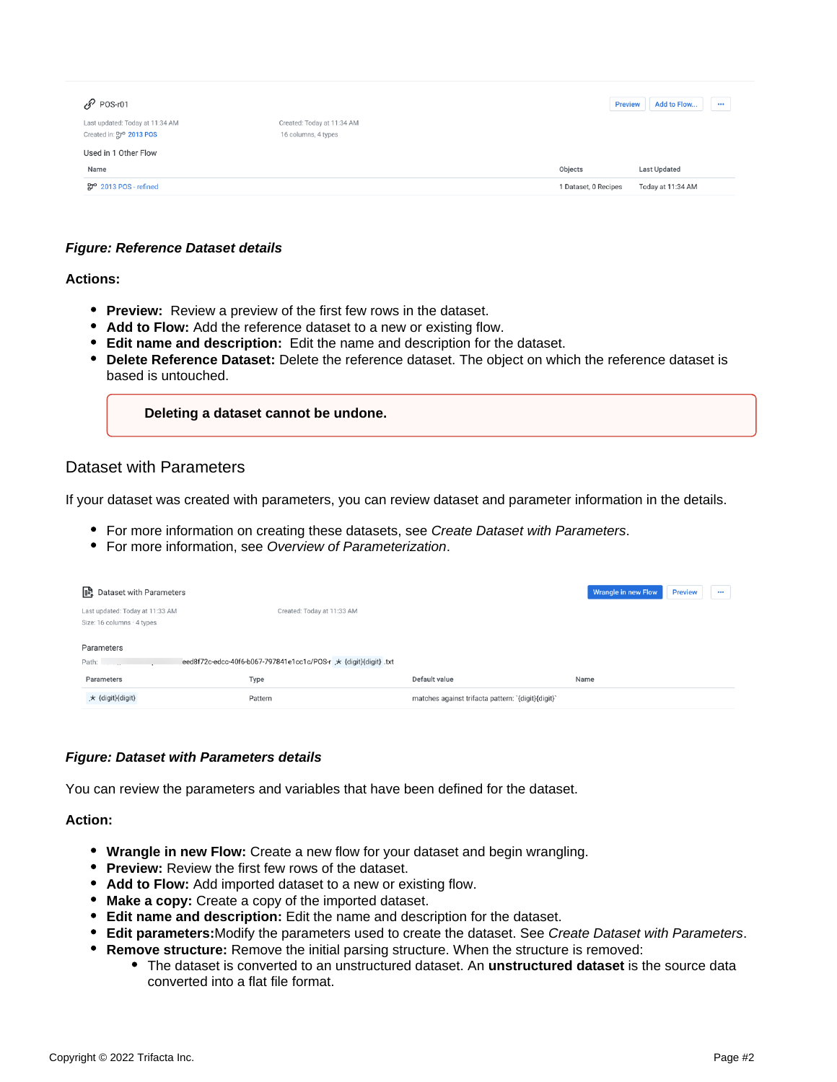| $\mathscr{S}$ POS-r01                                       |                                                   | <b>Preview</b>       | Add to Flow<br>$\cdots$ |
|-------------------------------------------------------------|---------------------------------------------------|----------------------|-------------------------|
| Last updated: Today at 11:34 AM<br>Created in: Pro 2013 POS | Created: Today at 11:34 AM<br>16 columns, 4 types |                      |                         |
| Used in 1 Other Flow                                        |                                                   |                      |                         |
| Name                                                        |                                                   | Objects              | <b>Last Updated</b>     |
| $2013$ POS - refined                                        |                                                   | 1 Dataset, 0 Recipes | Today at 11:34 AM       |
|                                                             |                                                   |                      |                         |

## **Figure: Reference Dataset details**

## **Actions:**

- **Preview:** Review a preview of the first few rows in the dataset.
- Add to Flow: Add the reference dataset to a new or existing flow.
- **Edit name and description:** Edit the name and description for the dataset.
- **Delete Reference Dataset:** Delete the reference dataset. The object on which the reference dataset is based is untouched.

**Deleting a dataset cannot be undone.**

# <span id="page-1-0"></span>Dataset with Parameters

If your dataset was created with parameters, you can review dataset and parameter information in the details.

- For more information on creating these datasets, see Create Dataset with Parameters.
- For more information, see Overview of Parameterization.

| <b>B</b> Dataset with Parameters                                                        |                            |                                                    | Wrangle in new Flow<br><b>Preview</b><br>$\cdots$ |  |  |
|-----------------------------------------------------------------------------------------|----------------------------|----------------------------------------------------|---------------------------------------------------|--|--|
| Last updated: Today at 11:33 AM<br>Size: 16 columns · 4 types                           | Created: Today at 11:33 AM |                                                    |                                                   |  |  |
| Parameters<br>eed8f72c-edcc-40f6-b067-797841e1cc1c/POS-r * {digit}{digit} .txt<br>Path: |                            |                                                    |                                                   |  |  |
| Parameters                                                                              | Type                       | Default value                                      | Name                                              |  |  |
| * {digit}{digit}                                                                        | Pattern                    | matches against trifacta pattern: `{digit}{digit}` |                                                   |  |  |

## **Figure: Dataset with Parameters details**

You can review the parameters and variables that have been defined for the dataset.

#### **Action:**

- **Wrangle in new Flow:** Create a new flow for your dataset and begin wrangling.
- **Preview:** Review the first few rows of the dataset.
- **Add to Flow:** Add imported dataset to a new or existing flow.
- **Make a copy:** Create a copy of the imported dataset.
- **Edit name and description:** Edit the name and description for the dataset.
- **Edit parameters:**Modify the parameters used to create the dataset. See Create Dataset with Parameters.
- **Remove structure:** Remove the initial parsing structure. When the structure is removed:
	- The dataset is converted to an unstructured dataset. An **unstructured dataset** is the source data converted into a flat file format.